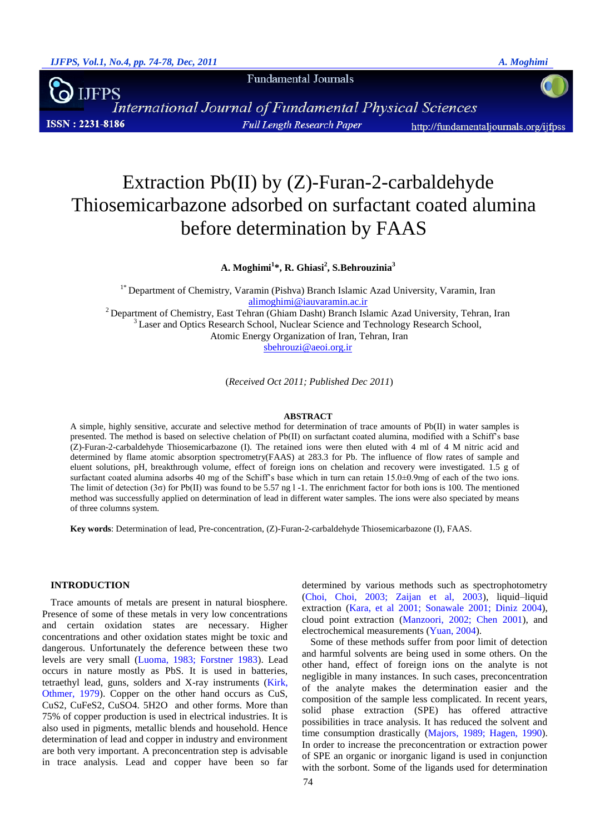**Fundamental Journals** 

**IJFPS** International Journal of Fundamental Physical Sciences **ISSN: 2231-8186 Full Length Research Paper** http://fundamentaljournals.org/ijfpss

# Extraction Pb(II) by (Z)-Furan-2-carbaldehyde Thiosemicarbazone adsorbed on surfactant coated alumina before determination by FAAS

**A. Moghimi<sup>1</sup> \*, R. Ghiasi<sup>2</sup> , S.Behrouzinia<sup>3</sup>**

<sup>1\*</sup> Department of Chemistry, Varamin (Pishva) Branch Islamic Azad University, Varamin, Iran [alimoghimi@iauvaramin.ac.ir](mailto:alimoghimi@iauvaramin.ac.ir) <sup>2</sup> Department of Chemistry, East Tehran (Ghiam Dasht) Branch Islamic Azad University, Tehran, Iran <sup>3</sup> Laser and Optics Research School, Nuclear Science and Technology Research School, Atomic Energy Organization of Iran, Tehran, Iran [sbehrouzi@aeoi.org.ir](mailto:sbehrouzi@aeoi.org.ir)

(*Received Oct 2011; Published Dec 2011*)

#### **ABSTRACT**

A simple, highly sensitive, accurate and selective method for determination of trace amounts of Pb(II) in water samples is presented. The method is based on selective chelation of Pb(II) on surfactant coated alumina, modified with a Schiff's base (Z)-Furan-2-carbaldehyde Thiosemicarbazone (I). The retained ions were then eluted with 4 ml of 4 M nitric acid and determined by flame atomic absorption spectrometry(FAAS) at 283.3 for Pb. The influence of flow rates of sample and eluent solutions, pH, breakthrough volume, effect of foreign ions on chelation and recovery were investigated. 1.5 g of surfactant coated alumina adsorbs 40 mg of the Schiff's base which in turn can retain 15.0±0.9mg of each of the two ions. The limit of detection (3 $\sigma$ ) for Pb(II) was found to be 5.57 ng l -1. The enrichment factor for both ions is 100. The mentioned method was successfully applied on determination of lead in different water samples. The ions were also speciated by means of three columns system.

**Key words**: Determination of lead, Pre-concentration, (Z)-Furan-2-carbaldehyde Thiosemicarbazone (I), FAAS.

## **INTRODUCTION**

Trace amounts of metals are present in natural biosphere. Presence of some of these metals in very low concentrations and certain oxidation states are necessary. Higher concentrations and other oxidation states might be toxic and dangerous. Unfortunately the deference between these two levels are very small (Luoma, 1983; Forstner 1983). Lead occurs in nature mostly as PbS. It is used in batteries, tetraethyl lead, guns, solders and X-ray instruments (Kirk, Othmer, 1979). Copper on the other hand occurs as CuS, CuS2, CuFeS2, CuSO4. 5H2O and other forms. More than 75% of copper production is used in electrical industries. It is also used in pigments, metallic blends and household. Hence determination of lead and copper in industry and environment are both very important. A preconcentration step is advisable in trace analysis. Lead and copper have been so far determined by various methods such as spectrophotometry (Choi, Choi, 2003; Zaijan et al, 2003), liquid–liquid extraction (Kara, et al 2001; Sonawale 2001; Diniz 2004), cloud point extraction (Manzoori, 2002; Chen 2001), and electrochemical measurements (Yuan, 2004).

Some of these methods suffer from poor limit of detection and harmful solvents are being used in some others. On the other hand, effect of foreign ions on the analyte is not negligible in many instances. In such cases, preconcentration of the analyte makes the determination easier and the composition of the sample less complicated. In recent years, solid phase extraction (SPE) has offered attractive possibilities in trace analysis. It has reduced the solvent and time consumption drastically (Majors, 1989; Hagen, 1990). In order to increase the preconcentration or extraction power of SPE an organic or inorganic ligand is used in conjunction with the sorbont. Some of the ligands used for determination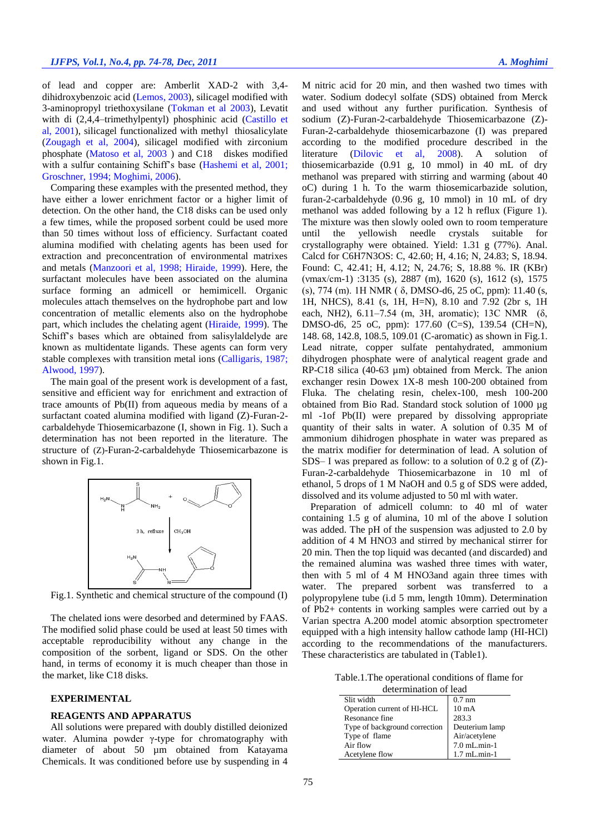of lead and copper are: Amberlit XAD-2 with 3,4 dihidroxybenzoic acid (Lemos, 2003), silicagel modified with 3-aminopropyl triethoxysilane (Tokman et al 2003), Levatit with di (2,4,4–trimethylpentyl) phosphinic acid (Castillo et al, 2001), silicagel functionalized with methyl thiosalicylate (Zougagh et al, 2004), silicagel modified with zirconium phosphate (Matoso et al, 2003 ) and C18 diskes modified with a sulfur containing Schiff's base (Hashemi et al, 2001; Groschner, 1994; Moghimi, 2006).

Comparing these examples with the presented method, they have either a lower enrichment factor or a higher limit of detection. On the other hand, the C18 disks can be used only a few times, while the proposed sorbent could be used more than 50 times without loss of efficiency. Surfactant coated alumina modified with chelating agents has been used for extraction and preconcentration of environmental matrixes and metals (Manzoori et al, 1998; Hiraide, 1999). Here, the surfactant molecules have been associated on the alumina surface forming an admicell or hemimicell. Organic molecules attach themselves on the hydrophobe part and low concentration of metallic elements also on the hydrophobe part, which includes the chelating agent (Hiraide, 1999). The Schiff's bases which are obtained from salisylaldelyde are known as multidentate ligands. These agents can form very stable complexes with transition metal ions (Calligaris, 1987; Alwood, 1997).

The main goal of the present work is development of a fast, sensitive and efficient way for enrichment and extraction of trace amounts of Pb(II) from aqueous media by means of a surfactant coated alumina modified with ligand (Z)-Furan-2 carbaldehyde Thiosemicarbazone (I, shown in Fig. 1). Such a determination has not been reported in the literature. The structure of (Z)-Furan-2-carbaldehyde Thiosemicarbazone is shown in Fig.1.



Fig.1. Synthetic and chemical structure of the compound (I)

The chelated ions were desorbed and determined by FAAS. The modified solid phase could be used at least 50 times with acceptable reproducibility without any change in the composition of the sorbent, ligand or SDS. On the other hand, in terms of economy it is much cheaper than those in the market, like C18 disks.

# **EXPERIMENTAL**

## **REAGENTS AND APPARATUS**

All solutions were prepared with doubly distilled deionized water. Alumina powder γ-type for chromatography with diameter of about 50 µm obtained from Katayama Chemicals. It was conditioned before use by suspending in 4 M nitric acid for 20 min, and then washed two times with water. Sodium dodecyl solfate (SDS) obtained from Merck and used without any further purification. Synthesis of sodium (Z)-Furan-2-carbaldehyde Thiosemicarbazone (Z)- Furan-2-carbaldehyde thiosemicarbazone (I) was prepared according to the modified procedure described in the literature (Dilovic et al, 2008). A solution of thiosemicarbazide (0.91 g, 10 mmol) in 40 mL of dry methanol was prepared with stirring and warming (about 40 oC) during 1 h. To the warm thiosemicarbazide solution, furan-2-carbaldehyde (0.96 g, 10 mmol) in 10 mL of dry methanol was added following by a 12 h reflux (Figure 1). The mixture was then slowly ooled own to room temperature until the yellowish needle crystals suitable for crystallography were obtained. Yield: 1.31 g (77%). Anal. Calcd for C6H7N3OS: C, 42.60; H, 4.16; N, 24.83; S, 18.94. Found: C, 42.41; H, 4.12; N, 24.76; S, 18.88 %. IR (KBr) (νmax/cm-1) :3135 (s), 2887 (m), 1620 (s), 1612 (s), 1575 (s), 774 (m). 1H NMR ( δ, DMSO-d6, 25 oC, ppm): 11.40 (s, 1H, NHCS), 8.41 (s, 1H, H=N), 8.10 and 7.92 (2br s, 1H each, NH2), 6.11–7.54 (m, 3H, aromatic); 13C NMR (δ, DMSO-d6, 25 oC, ppm): 177.60 (C=S), 139.54 (CH=N), 148. 68, 142.8, 108.5, 109.01 (C-aromatic) as shown in Fig.1. Lead nitrate, copper sulfate pentahydrated, ammonium dihydrogen phosphate were of analytical reagent grade and RP-C18 silica (40-63 µm) obtained from Merck. The anion exchanger resin Dowex 1X-8 mesh 100-200 obtained from Fluka. The chelating resin, chelex-100, mesh 100-200 obtained from Bio Rad. Standard stock solution of 1000 µg ml -1of Pb(II) were prepared by dissolving appropriate quantity of their salts in water. A solution of 0.35 M of ammonium dihidrogen phosphate in water was prepared as the matrix modifier for determination of lead. A solution of SDS– I was prepared as follow: to a solution of 0.2 g of (Z)- Furan-2-carbaldehyde Thiosemicarbazone in 10 ml of ethanol, 5 drops of 1 M NaOH and 0.5 g of SDS were added, dissolved and its volume adjusted to 50 ml with water.

Preparation of admicell column: to 40 ml of water containing 1.5 g of alumina, 10 ml of the above I solution was added. The pH of the suspension was adjusted to 2.0 by addition of 4 M HNO3 and stirred by mechanical stirrer for 20 min. Then the top liquid was decanted (and discarded) and the remained alumina was washed three times with water, then with 5 ml of 4 M HNO3and again three times with water. The prepared sorbent was transferred to a polypropylene tube (i.d 5 mm, length 10mm). Determination of Pb2+ contents in working samples were carried out by a Varian spectra A.200 model atomic absorption spectrometer equipped with a high intensity hallow cathode lamp (HI-HCl) according to the recommendations of the manufacturers. These characteristics are tabulated in (Table1).

Table.1.The operational conditions of flame for determination of lead

| determination of lead         |                 |  |  |
|-------------------------------|-----------------|--|--|
| Slit width                    | $0.7$ nm        |  |  |
| Operation current of HI-HCL   | $10 \text{ mA}$ |  |  |
| Resonance fine                | 283.3           |  |  |
| Type of background correction | Deuterium lamp  |  |  |
| Type of flame                 | Air/acetylene   |  |  |
| Air flow                      | 7.0 mL.min-1    |  |  |
| Acetylene flow                | $1.7$ mL.min-1  |  |  |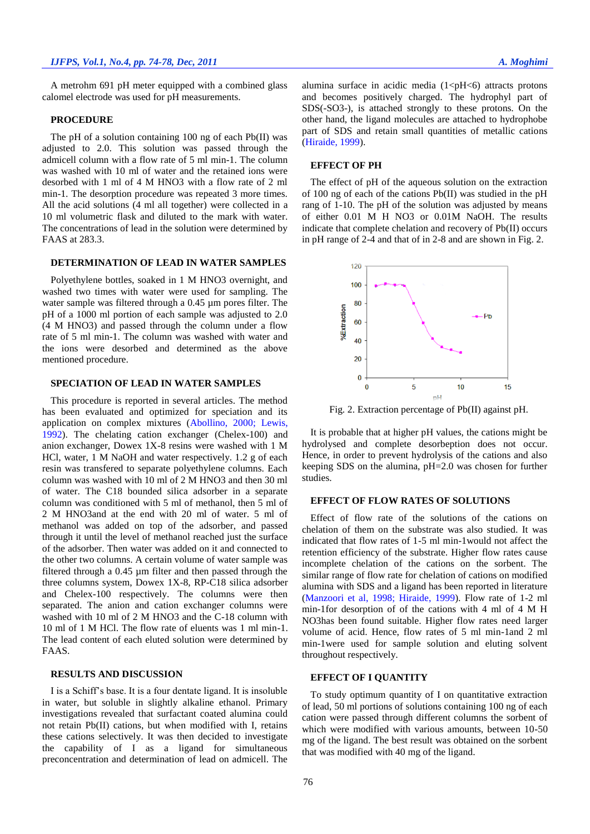A metrohm 691 pH meter equipped with a combined glass calomel electrode was used for pH measurements.

## **PROCEDURE**

The pH of a solution containing 100 ng of each Pb(II) was adjusted to 2.0. This solution was passed through the admicell column with a flow rate of 5 ml min-1. The column was washed with 10 ml of water and the retained ions were desorbed with 1 ml of 4 M HNO3 with a flow rate of 2 ml min-1. The desorption procedure was repeated 3 more times. All the acid solutions (4 ml all together) were collected in a 10 ml volumetric flask and diluted to the mark with water. The concentrations of lead in the solution were determined by FAAS at 283.3.

# **DETERMINATION OF LEAD IN WATER SAMPLES**

Polyethylene bottles, soaked in 1 M HNO3 overnight, and washed two times with water were used for sampling. The water sample was filtered through a 0.45 µm pores filter. The pH of a 1000 ml portion of each sample was adjusted to 2.0 (4 M HNO3) and passed through the column under a flow rate of 5 ml min-1. The column was washed with water and the ions were desorbed and determined as the above mentioned procedure.

# **SPECIATION OF LEAD IN WATER SAMPLES**

This procedure is reported in several articles. The method has been evaluated and optimized for speciation and its application on complex mixtures (Abollino, 2000; Lewis, 1992). The chelating cation exchanger (Chelex-100) and anion exchanger, Dowex 1X-8 resins were washed with 1 M HCl, water, 1 M NaOH and water respectively. 1.2 g of each resin was transfered to separate polyethylene columns. Each column was washed with 10 ml of 2 M HNO3 and then 30 ml of water. The C18 bounded silica adsorber in a separate column was conditioned with 5 ml of methanol, then 5 ml of 2 M HNO3and at the end with 20 ml of water. 5 ml of methanol was added on top of the adsorber, and passed through it until the level of methanol reached just the surface of the adsorber. Then water was added on it and connected to the other two columns. A certain volume of water sample was filtered through a 0.45 µm filter and then passed through the three columns system, Dowex 1X-8, RP-C18 silica adsorber and Chelex-100 respectively. The columns were then separated. The anion and cation exchanger columns were washed with 10 ml of 2 M HNO3 and the C-18 column with 10 ml of 1 M HCl. The flow rate of eluents was 1 ml min-1. The lead content of each eluted solution were determined by FAAS.

## **RESULTS AND DISCUSSION**

I is a Schiff's base. It is a four dentate ligand. It is insoluble in water, but soluble in slightly alkaline ethanol. Primary investigations revealed that surfactant coated alumina could not retain Pb(II) cations, but when modified with I, retains these cations selectively. It was then decided to investigate the capability of I as a ligand for simultaneous preconcentration and determination of lead on admicell. The alumina surface in acidic media  $(1 \le pH \le 6)$  attracts protons and becomes positively charged. The hydrophyl part of SDS(-SO3-), is attached strongly to these protons. On the other hand, the ligand molecules are attached to hydrophobe part of SDS and retain small quantities of metallic cations (Hiraide, 1999).

#### **EFFECT OF PH**

The effect of pH of the aqueous solution on the extraction of 100 ng of each of the cations Pb(II) was studied in the pH rang of 1-10. The pH of the solution was adjusted by means of either 0.01 M H NO3 or 0.01M NaOH. The results indicate that complete chelation and recovery of Pb(II) occurs in pH range of 2-4 and that of in 2-8 and are shown in Fig. 2.



Fig. 2. Extraction percentage of Pb(II) against pH.

It is probable that at higher pH values, the cations might be hydrolysed and complete desorbeption does not occur. Hence, in order to prevent hydrolysis of the cations and also keeping SDS on the alumina, pH=2.0 was chosen for further studies.

## **EFFECT OF FLOW RATES OF SOLUTIONS**

Effect of flow rate of the solutions of the cations on chelation of them on the substrate was also studied. It was indicated that flow rates of 1-5 ml min-1would not affect the retention efficiency of the substrate. Higher flow rates cause incomplete chelation of the cations on the sorbent. The similar range of flow rate for chelation of cations on modified alumina with SDS and a ligand has been reported in literature (Manzoori et al, 1998; Hiraide, 1999). Flow rate of 1-2 ml min-1for desorption of of the cations with 4 ml of 4 M H NO3has been found suitable. Higher flow rates need larger volume of acid. Hence, flow rates of 5 ml min-1and 2 ml min-1were used for sample solution and eluting solvent throughout respectively.

## **EFFECT OF I QUANTITY**

To study optimum quantity of I on quantitative extraction of lead, 50 ml portions of solutions containing 100 ng of each cation were passed through different columns the sorbent of which were modified with various amounts, between 10-50 mg of the ligand. The best result was obtained on the sorbent that was modified with 40 mg of the ligand.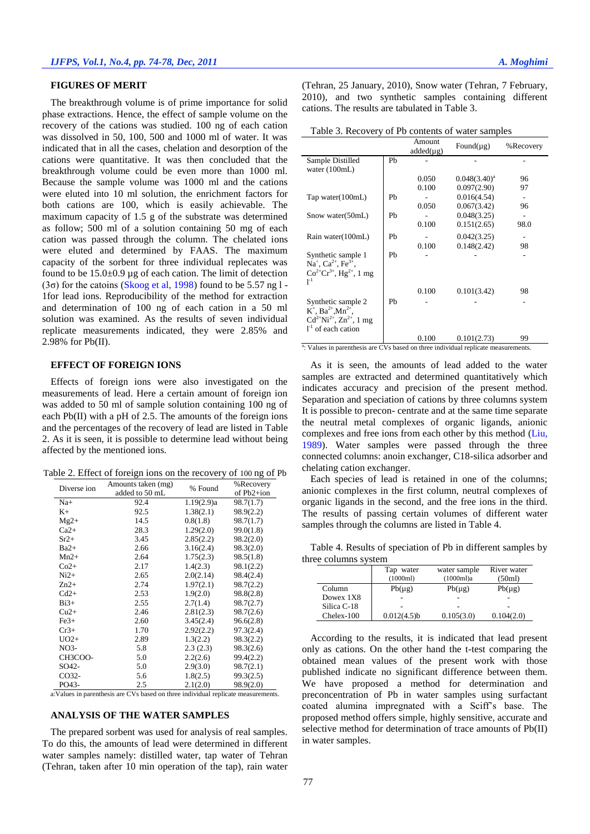## **FIGURES OF MERIT**

The breakthrough volume is of prime importance for solid phase extractions. Hence, the effect of sample volume on the recovery of the cations was studied. 100 ng of each cation was dissolved in 50, 100, 500 and 1000 ml of water. It was indicated that in all the cases, chelation and desorption of the cations were quantitative. It was then concluded that the breakthrough volume could be even more than 1000 ml. Because the sample volume was 1000 ml and the cations were eluted into 10 ml solution, the enrichment factors for both cations are 100, which is easily achievable. The maximum capacity of 1.5 g of the substrate was determined as follow; 500 ml of a solution containing 50 mg of each cation was passed through the column. The chelated ions were eluted and determined by FAAS. The maximum capacity of the sorbent for three individual replecates was found to be  $15.0\pm0.9$  µg of each cation. The limit of detection ( $3\sigma$ ) for the catoins (Skoog et al, 1998) found to be 5.57 ng l -1for lead ions. Reproducibility of the method for extraction and determination of 100 ng of each cation in a 50 ml solution was examined. As the results of seven individual replicate measurements indicated, they were 2.85% and 2.98% for Pb(II).

# **EFFECT OF FOREIGN IONS**

Effects of foreign ions were also investigated on the measurements of lead. Here a certain amount of foreign ion was added to 50 ml of sample solution containing 100 ng of each Pb(II) with a pH of 2.5. The amounts of the foreign ions and the percentages of the recovery of lead are listed in Table 2. As it is seen, it is possible to determine lead without being affected by the mentioned ions.

Table 2. Effect of foreign ions on the recovery of 100 ng of Pb

| Diverse ion | Amounts taken (mg) | % Found    | %Recovery  |
|-------------|--------------------|------------|------------|
|             | added to 50 mL     |            | of Pb2+ion |
| Na+         | 92.4               | 1.19(2.9)a | 98.7(1.7)  |
| K+          | 92.5               | 1.38(2.1)  | 98.9(2.2)  |
| $Mg2+$      | 14.5               | 0.8(1.8)   | 98.7(1.7)  |
| $Ca2+$      | 28.3               | 1.29(2.0)  | 99.0(1.8)  |
| $Sr2+$      | 3.45               | 2.85(2.2)  | 98.2(2.0)  |
| $Ba2+$      | 2.66               | 3.16(2.4)  | 98.3(2.0)  |
| $Mn2+$      | 2.64               | 1.75(2.3)  | 98.5(1.8)  |
| $Co2+$      | 2.17               | 1.4(2.3)   | 98.1(2.2)  |
| $Ni2+$      | 2.65               | 2.0(2.14)  | 98.4(2.4)  |
| $Zn2+$      | 2.74               | 1.97(2.1)  | 98.7(2.2)  |
| $Cd2+$      | 2.53               | 1.9(2.0)   | 98.8(2.8)  |
| $Bi3+$      | 2.55               | 2.7(1.4)   | 98.7(2.7)  |
| $Cu2+$      | 2.46               | 2.81(2.3)  | 98.7(2.6)  |
| $Fe3+$      | 2.60               | 3.45(2.4)  | 96.6(2.8)  |
| $Cr3+$      | 1.70               | 2.92(2.2)  | 97.3(2.4)  |
| $UO2+$      | 2.89               | 1.3(2.2)   | 98.3(2.2)  |
| NO3-        | 5.8                | 2.3(2.3)   | 98.3(2.6)  |
| CH3COO-     | 5.0                | 2.2(2.6)   | 99.4(2.2)  |
| SO42-       | 5.0                | 2.9(3.0)   | 98.7(2.1)  |
| CO32-       | 5.6                | 1.8(2.5)   | 99.3(2.5)  |
| PO43-       | 2.5                | 2.1(2.0)   | 98.9(2.0)  |

a:Values in parenthesis are CVs based on three individual replicate measurements.

# **ANALYSIS OF THE WATER SAMPLES**

The prepared sorbent was used for analysis of real samples. To do this, the amounts of lead were determined in different water samples namely: distilled water, tap water of Tehran (Tehran, taken after 10 min operation of the tap), rain water

(Tehran, 25 January, 2010), Snow water (Tehran, 7 February, 2010), and two synthetic samples containing different cations. The results are tabulated in Table 3.

Table 3. Recovery of Pb contents of water samples

|                                                                                                                                         |    | Amount<br>$added(\mu g)$ | Found( $\mu$ g) | %Recovery |
|-----------------------------------------------------------------------------------------------------------------------------------------|----|--------------------------|-----------------|-----------|
| Sample Distilled<br>water $(100mL)$                                                                                                     | Pb |                          |                 |           |
|                                                                                                                                         |    | 0.050                    | $0.048(3.40)^a$ | 96        |
|                                                                                                                                         |    | 0.100                    | 0.097(2.90)     | 97        |
| Tap water(100mL)                                                                                                                        | Ph |                          | 0.016(4.54)     |           |
|                                                                                                                                         |    | 0.050                    | 0.067(3.42)     | 96        |
| Snow water(50mL)                                                                                                                        | Pb |                          | 0.048(3.25)     |           |
|                                                                                                                                         |    | 0.100                    | 0.151(2.65)     | 98.0      |
| Rain water(100mL)                                                                                                                       | Pb |                          | 0.042(3.25)     | ۰         |
|                                                                                                                                         |    | 0.100                    | 0.148(2.42)     | 98        |
| Synthetic sample 1<br>Na <sup>+</sup> , Ca <sup>2+</sup> , Fe <sup>3+</sup> ,<br>$Co^{2+}Cr^{3+}$ , Hg <sup>2+</sup> , 1 mg<br>$1^{-1}$ | Pb |                          |                 |           |
|                                                                                                                                         |    | 0.100                    | 0.101(3.42)     | 98        |
| Synthetic sample 2<br>$K^+$ , Ba <sup>2+</sup> , Mn <sup>2+</sup> ,<br>$Cd^{2+}Ni^{2+}$ , $Zn^{2+}$ , 1 mg<br>$1-1$ of each cation      | Ph |                          |                 |           |
|                                                                                                                                         |    | 0.100                    | 0.101(2.73)     | 99        |
| <sup>a</sup> : Values in parenthesis are CVs based on three individual replicate measurements.                                          |    |                          |                 |           |

As it is seen, the amounts of lead added to the water samples are extracted and determined quantitatively which indicates accuracy and precision of the present method. Separation and speciation of cations by three columns system It is possible to precon- centrate and at the same time separate the neutral metal complexes of organic ligands, anionic complexes and free ions from each other by this method (Liu, 1989). Water samples were passed through the three connected columns: anoin exchanger, C18-silica adsorber and chelating cation exchanger.

Each species of lead is retained in one of the columns; anionic complexes in the first column, neutral complexes of organic ligands in the second, and the free ions in the third. The results of passing certain volumes of different water samples through the columns are listed in Table 4.

Table 4. Results of speciation of Pb in different samples by three columns system

|             | Tap water      | water sample | River water |
|-------------|----------------|--------------|-------------|
|             | (1000ml)       | (1000ml)a    | (50ml)      |
| Column      | $Pb(\mu g)$    | $Pb(\mu g)$  | $Pb(\mu g)$ |
| Dowex 1X8   |                |              |             |
| Silica C-18 |                |              |             |
| Chelex-100  | $0.012(4.5)$ b | 0.105(3.0)   | 0.104(2.0)  |

According to the results, it is indicated that lead present only as cations. On the other hand the t-test comparing the obtained mean values of the present work with those published indicate no significant difference between them. We have proposed a method for determination and preconcentration of Pb in water samples using surfactant coated alumina impregnated with a Sciff's base. The proposed method offers simple, highly sensitive, accurate and selective method for determination of trace amounts of Pb(II) in water samples.